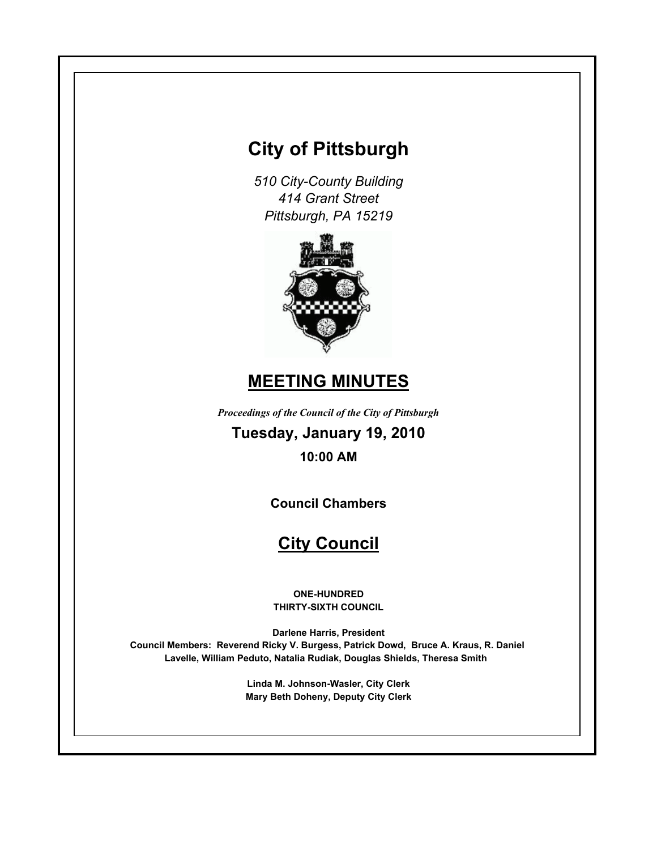# **City of Pittsburgh**

*510 City-County Building 414 Grant Street Pittsburgh, PA 15219*



# **MEETING MINUTES**

*Proceedings of the Council of the City of Pittsburgh*

**Tuesday, January 19, 2010 10:00 AM**

**Council Chambers**

# **City Council**

**ONE-HUNDRED THIRTY-SIXTH COUNCIL**

**Darlene Harris, President Council Members: Reverend Ricky V. Burgess, Patrick Dowd, Bruce A. Kraus, R. Daniel Lavelle, William Peduto, Natalia Rudiak, Douglas Shields, Theresa Smith** 

> **Linda M. Johnson-Wasler, City Clerk Mary Beth Doheny, Deputy City Clerk**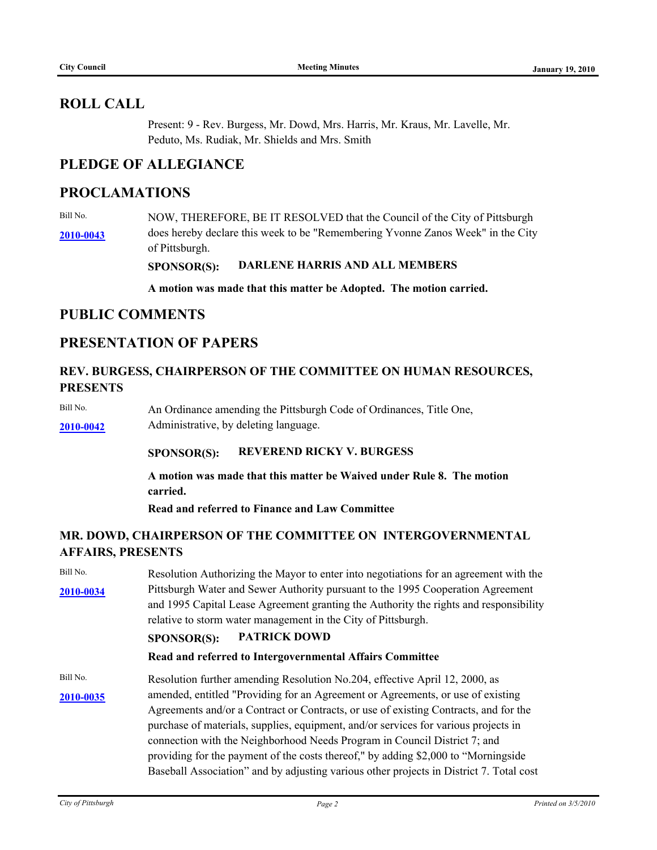## **ROLL CALL**

Present: 9 - Rev. Burgess, Mr. Dowd, Mrs. Harris, Mr. Kraus, Mr. Lavelle, Mr. Peduto, Ms. Rudiak, Mr. Shields and Mrs. Smith

# **PLEDGE OF ALLEGIANCE**

## **PROCLAMATIONS**

Bill No. **[2010-0043](http://pittsburgh.legistar.com/gateway.aspx/matter.aspx?key=12542)** does hereby declare this week to be "Remembering Yvonne Zanos Week" in the City NOW, THEREFORE, BE IT RESOLVED that the Council of the City of Pittsburgh of Pittsburgh.

**SPONSOR(S): DARLENE HARRIS AND ALL MEMBERS**

**A motion was made that this matter be Adopted. The motion carried.**

## **PUBLIC COMMENTS**

## **PRESENTATION OF PAPERS**

### **REV. BURGESS, CHAIRPERSON OF THE COMMITTEE ON HUMAN RESOURCES, PRESENTS**

Bill No. **[2010-0042](http://pittsburgh.legistar.com/gateway.aspx/matter.aspx?key=12541)** Administrative, by deleting language. An Ordinance amending the Pittsburgh Code of Ordinances, Title One,

#### **SPONSOR(S): REVEREND RICKY V. BURGESS**

**A motion was made that this matter be Waived under Rule 8. The motion carried.**

**Read and referred to Finance and Law Committee**

## **MR. DOWD, CHAIRPERSON OF THE COMMITTEE ON INTERGOVERNMENTAL AFFAIRS, PRESENTS**

Bill No. **[2010-0034](http://pittsburgh.legistar.com/gateway.aspx/matter.aspx?key=12532)** Pittsburgh Water and Sewer Authority pursuant to the 1995 Cooperation Agreement Resolution Authorizing the Mayor to enter into negotiations for an agreement with the and 1995 Capital Lease Agreement granting the Authority the rights and responsibility relative to storm water management in the City of Pittsburgh.

## **SPONSOR(S): PATRICK DOWD**

#### **Read and referred to Intergovernmental Affairs Committee**

Bill No. **[2010-0035](http://pittsburgh.legistar.com/gateway.aspx/matter.aspx?key=12534)** amended, entitled "Providing for an Agreement or Agreements, or use of existing Resolution further amending Resolution No.204, effective April 12, 2000, as Agreements and/or a Contract or Contracts, or use of existing Contracts, and for the purchase of materials, supplies, equipment, and/or services for various projects in connection with the Neighborhood Needs Program in Council District 7; and providing for the payment of the costs thereof," by adding \$2,000 to "Morningside Baseball Association" and by adjusting various other projects in District 7. Total cost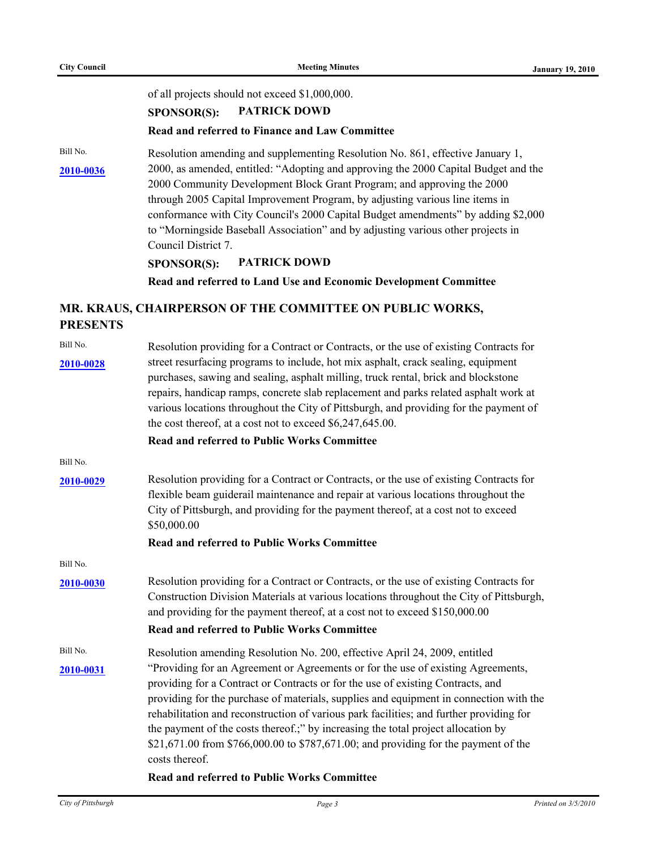of all projects should not exceed \$1,000,000.

#### **SPONSOR(S): PATRICK DOWD**

#### **Read and referred to Finance and Law Committee**

Bill No.

**[2010-0036](http://pittsburgh.legistar.com/gateway.aspx/matter.aspx?key=12535)** 2000, as amended, entitled: "Adopting and approving the 2000 Capital Budget and the Resolution amending and supplementing Resolution No. 861, effective January 1, 2000 Community Development Block Grant Program; and approving the 2000 through 2005 Capital Improvement Program, by adjusting various line items in conformance with City Council's 2000 Capital Budget amendments" by adding \$2,000 to "Morningside Baseball Association" and by adjusting various other projects in Council District 7.

#### **SPONSOR(S): PATRICK DOWD**

**Read and referred to Land Use and Economic Development Committee**

## **MR. KRAUS, CHAIRPERSON OF THE COMMITTEE ON PUBLIC WORKS, PRESENTS**

| Bill No.  | Resolution providing for a Contract or Contracts, or the use of existing Contracts for                                                                                                                                                                                                                                                                                                                                                                                                                                                                 |  |  |
|-----------|--------------------------------------------------------------------------------------------------------------------------------------------------------------------------------------------------------------------------------------------------------------------------------------------------------------------------------------------------------------------------------------------------------------------------------------------------------------------------------------------------------------------------------------------------------|--|--|
| 2010-0028 | street resurfacing programs to include, hot mix asphalt, crack sealing, equipment<br>purchases, sawing and sealing, asphalt milling, truck rental, brick and blockstone<br>repairs, handicap ramps, concrete slab replacement and parks related asphalt work at<br>various locations throughout the City of Pittsburgh, and providing for the payment of<br>the cost thereof, at a cost not to exceed \$6,247,645.00.                                                                                                                                  |  |  |
|           | <b>Read and referred to Public Works Committee</b>                                                                                                                                                                                                                                                                                                                                                                                                                                                                                                     |  |  |
| Bill No.  |                                                                                                                                                                                                                                                                                                                                                                                                                                                                                                                                                        |  |  |
| 2010-0029 | Resolution providing for a Contract or Contracts, or the use of existing Contracts for<br>flexible beam guiderail maintenance and repair at various locations throughout the<br>City of Pittsburgh, and providing for the payment thereof, at a cost not to exceed<br>\$50,000.00                                                                                                                                                                                                                                                                      |  |  |
|           | <b>Read and referred to Public Works Committee</b>                                                                                                                                                                                                                                                                                                                                                                                                                                                                                                     |  |  |
| Bill No.  |                                                                                                                                                                                                                                                                                                                                                                                                                                                                                                                                                        |  |  |
| 2010-0030 | Resolution providing for a Contract or Contracts, or the use of existing Contracts for<br>Construction Division Materials at various locations throughout the City of Pittsburgh,<br>and providing for the payment thereof, at a cost not to exceed \$150,000.00                                                                                                                                                                                                                                                                                       |  |  |
|           | <b>Read and referred to Public Works Committee</b>                                                                                                                                                                                                                                                                                                                                                                                                                                                                                                     |  |  |
| Bill No.  | Resolution amending Resolution No. 200, effective April 24, 2009, entitled                                                                                                                                                                                                                                                                                                                                                                                                                                                                             |  |  |
| 2010-0031 | "Providing for an Agreement or Agreements or for the use of existing Agreements,<br>providing for a Contract or Contracts or for the use of existing Contracts, and<br>providing for the purchase of materials, supplies and equipment in connection with the<br>rehabilitation and reconstruction of various park facilities; and further providing for<br>the payment of the costs thereof.;" by increasing the total project allocation by<br>\$21,671.00 from \$766,000.00 to \$787,671.00; and providing for the payment of the<br>costs thereof. |  |  |
|           | <b>Read and referred to Public Works Committee</b>                                                                                                                                                                                                                                                                                                                                                                                                                                                                                                     |  |  |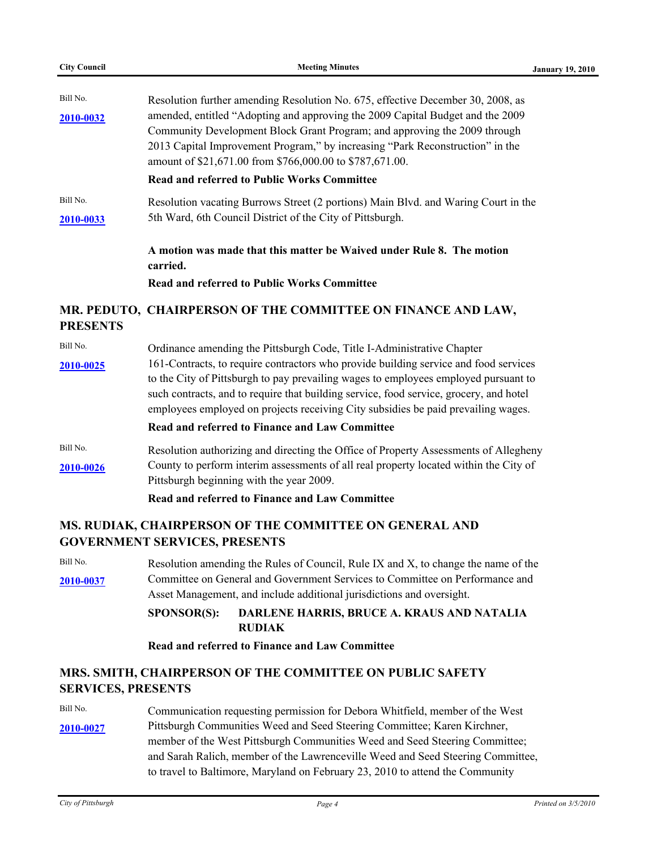| <b>City Council</b> | <b>Meeting Minutes</b>                                                                                                                                      | <b>January 19, 2010</b> |
|---------------------|-------------------------------------------------------------------------------------------------------------------------------------------------------------|-------------------------|
| Bill No.            | Resolution further amending Resolution No. 675, effective December 30, 2008, as                                                                             |                         |
| 2010-0032           | amended, entitled "Adopting and approving the 2009 Capital Budget and the 2009<br>Community Development Block Grant Program; and approving the 2009 through |                         |
|                     | 2013 Capital Improvement Program," by increasing "Park Reconstruction" in the<br>amount of \$21,671.00 from \$766,000.00 to \$787,671.00.                   |                         |
|                     | <b>Read and referred to Public Works Committee</b>                                                                                                          |                         |
| Bill No.            | Resolution vacating Burrows Street (2 portions) Main Blvd. and Waring Court in the                                                                          |                         |
| 2010-0033           | 5th Ward, 6th Council District of the City of Pittsburgh.                                                                                                   |                         |
|                     | A motion was made that this matter be Waived under Rule 8. The motion<br>carried.                                                                           |                         |
|                     | <b>Read and referred to Public Works Committee</b>                                                                                                          |                         |
| <b>PRESENTS</b>     | MR. PEDUTO, CHAIRPERSON OF THE COMMITTEE ON FINANCE AND LAW,                                                                                                |                         |
| Bill No.            | Ordinance amending the Pittsburgh Code, Title I-Administrative Chapter                                                                                      |                         |
| 2010-0025           | 161-Contracts, to require contractors who provide building service and food services                                                                        |                         |
|                     | to the City of Pittsburgh to pay prevailing wages to employees employed pursuant to                                                                         |                         |
|                     | such contracts, and to require that building service, food service, grocery, and hotel                                                                      |                         |
|                     | employees employed on projects receiving City subsidies be paid prevailing wages.                                                                           |                         |

#### **Read and referred to Finance and Law Committee**

Bill No. [2010-0026](http://pittsburgh.legistar.com/gateway.aspx/matter.aspx?key=12522) County to perform interim assessments of all real property located within the City of Resolution authorizing and directing the Office of Property Assessments of Allegheny Pittsburgh beginning with the year 2009.

#### **Read and referred to Finance and Law Committee**

## **MS. RUDIAK, CHAIRPERSON OF THE COMMITTEE ON GENERAL AND GOVERNMENT SERVICES, PRESENTS**

Bill No. **[2010-0037](http://pittsburgh.legistar.com/gateway.aspx/matter.aspx?key=12536)** Committee on General and Government Services to Committee on Performance and Resolution amending the Rules of Council, Rule IX and X, to change the name of the Asset Management, and include additional jurisdictions and oversight.

## **SPONSOR(S): DARLENE HARRIS, BRUCE A. KRAUS AND NATALIA RUDIAK**

### **Read and referred to Finance and Law Committee**

# **MRS. SMITH, CHAIRPERSON OF THE COMMITTEE ON PUBLIC SAFETY SERVICES, PRESENTS**

Bill No. **[2010-0027](http://pittsburgh.legistar.com/gateway.aspx/matter.aspx?key=12523)** Pittsburgh Communities Weed and Seed Steering Committee; Karen Kirchner, Communication requesting permission for Debora Whitfield, member of the West member of the West Pittsburgh Communities Weed and Seed Steering Committee; and Sarah Ralich, member of the Lawrenceville Weed and Seed Steering Committee, to travel to Baltimore, Maryland on February 23, 2010 to attend the Community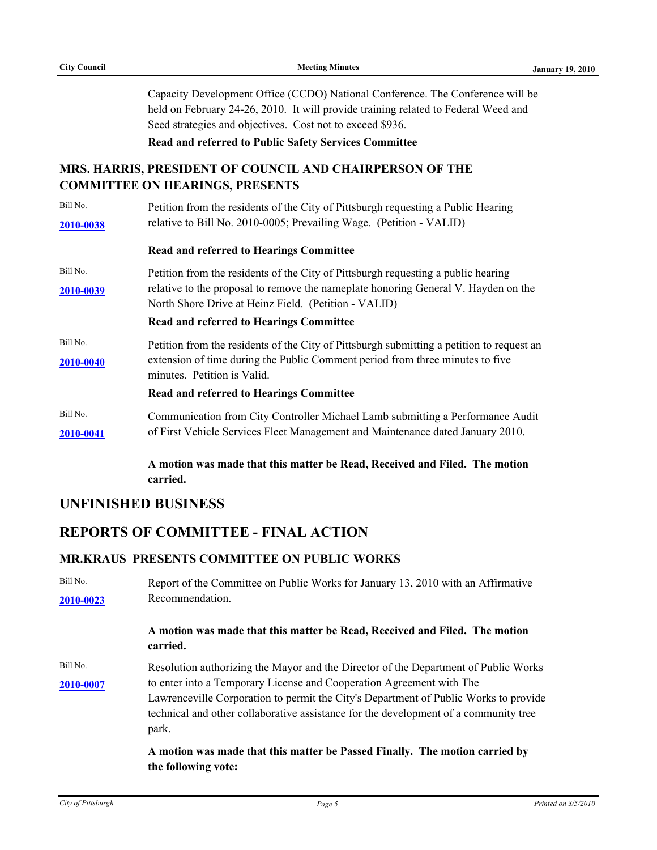Capacity Development Office (CCDO) National Conference. The Conference will be held on February 24-26, 2010. It will provide training related to Federal Weed and Seed strategies and objectives. Cost not to exceed \$936.

**Read and referred to Public Safety Services Committee**

## **MRS. HARRIS, PRESIDENT OF COUNCIL AND CHAIRPERSON OF THE COMMITTEE ON HEARINGS, PRESENTS**

| Bill No.<br>2010-0038        | Petition from the residents of the City of Pittsburgh requesting a Public Hearing<br>relative to Bill No. 2010-0005; Prevailing Wage. (Petition - VALID)                                                                                                                          |
|------------------------------|-----------------------------------------------------------------------------------------------------------------------------------------------------------------------------------------------------------------------------------------------------------------------------------|
|                              | <b>Read and referred to Hearings Committee</b>                                                                                                                                                                                                                                    |
| Bill No.<br><u>2010-0039</u> | Petition from the residents of the City of Pittsburgh requesting a public hearing<br>relative to the proposal to remove the nameplate honoring General V. Hayden on the<br>North Shore Drive at Heinz Field. (Petition - VALID)<br><b>Read and referred to Hearings Committee</b> |
| Bill No.<br>2010-0040        | Petition from the residents of the City of Pittsburgh submitting a petition to request an<br>extension of time during the Public Comment period from three minutes to five<br>minutes. Petition is Valid.<br><b>Read and referred to Hearings Committee</b>                       |
| Bill No.<br>2010-0041        | Communication from City Controller Michael Lamb submitting a Performance Audit<br>of First Vehicle Services Fleet Management and Maintenance dated January 2010.                                                                                                                  |
|                              | A motion was made that this matter be Read, Received and Filed. The motion<br>carried.                                                                                                                                                                                            |

# **UNFINISHED BUSINESS**

# **REPORTS OF COMMITTEE - FINAL ACTION**

#### **MR.KRAUS PRESENTS COMMITTEE ON PUBLIC WORKS**

Bill No. **[2010-0023](http://pittsburgh.legistar.com/gateway.aspx/matter.aspx?key=12519)** Report of the Committee on Public Works for January 13, 2010 with an Affirmative Recommendation.

#### **A motion was made that this matter be Read, Received and Filed. The motion carried.**

Bill No. **[2010-0007](http://pittsburgh.legistar.com/gateway.aspx/matter.aspx?key=12503)** to enter into a Temporary License and Cooperation Agreement with The Resolution authorizing the Mayor and the Director of the Department of Public Works Lawrenceville Corporation to permit the City's Department of Public Works to provide technical and other collaborative assistance for the development of a community tree park.

#### **A motion was made that this matter be Passed Finally. The motion carried by the following vote:**